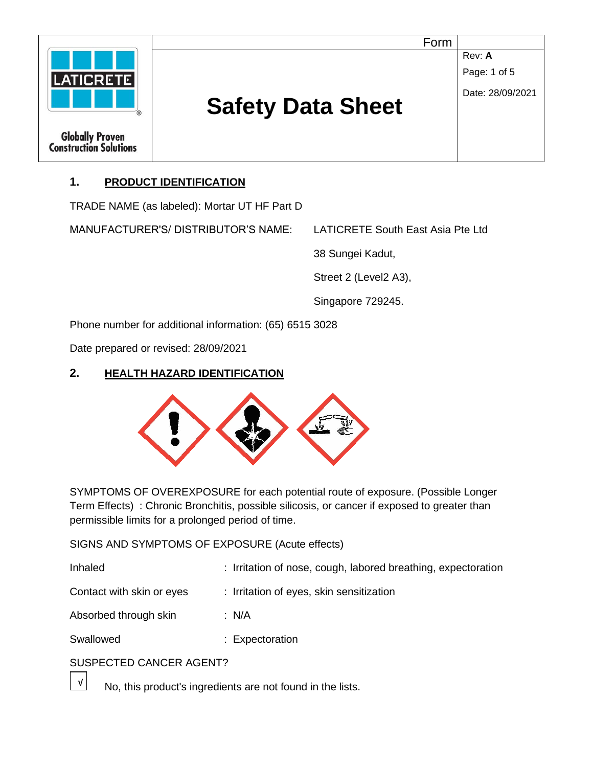

# **1. PRODUCT IDENTIFICATION**

TRADE NAME (as labeled): Mortar UT HF Part D

MANUFACTURER'S/ DISTRIBUTOR'S NAME: LATICRETE South East Asia Pte Ltd

38 Sungei Kadut,

Street 2 (Level2 A3),

Singapore 729245.

Phone number for additional information: (65) 6515 3028

Date prepared or revised: 28/09/2021

# **2. HEALTH HAZARD IDENTIFICATION**



SYMPTOMS OF OVEREXPOSURE for each potential route of exposure. (Possible Longer Term Effects) : Chronic Bronchitis, possible silicosis, or cancer if exposed to greater than permissible limits for a prolonged period of time.

SIGNS AND SYMPTOMS OF EXPOSURE (Acute effects)

| Inhaled                   | : Irritation of nose, cough, labored breathing, expectoration |
|---------------------------|---------------------------------------------------------------|
| Contact with skin or eyes | : Irritation of eyes, skin sensitization                      |
| Absorbed through skin     | : $N/A$                                                       |
| Swallowed                 | : Expectoration                                               |
|                           |                                                               |

# SUSPECTED CANCER AGENT?

 $\overline{\sqrt{1}}$  No, this product's ingredients are not found in the lists.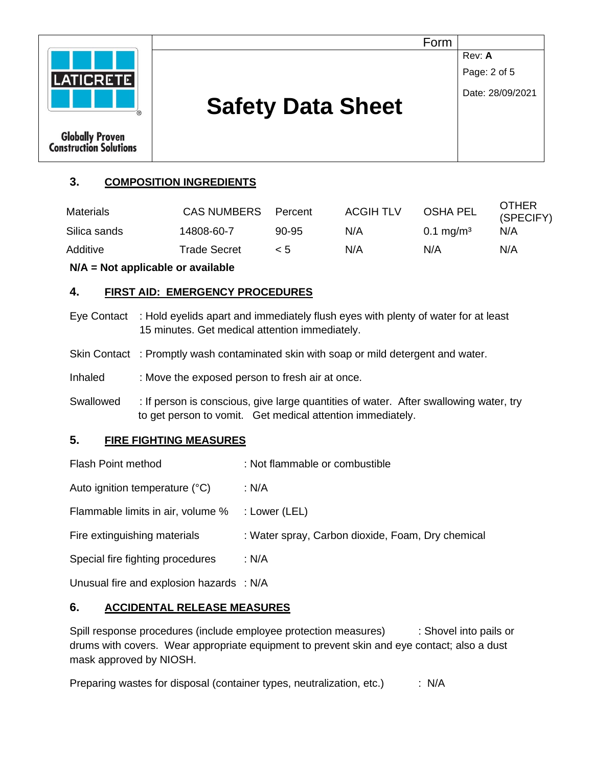

# **3. COMPOSITION INGREDIENTS**

| Materials    | <b>CAS NUMBERS</b> | Percent  | <b>ACGIH TLV</b> | <b>OSHA PEL</b>      | OTHER<br>(SPECIFY) |
|--------------|--------------------|----------|------------------|----------------------|--------------------|
| Silica sands | 14808-60-7         | 90-95    | N/A              | $0.1 \text{ mg/m}^3$ | N/A                |
| Additive     | Trade Secret       | $\leq 5$ | N/A              | N/A                  | N/A                |

**N/A = Not applicable or available**

# **4. FIRST AID: EMERGENCY PROCEDURES**

- Eye Contact : Hold eyelids apart and immediately flush eyes with plenty of water for at least 15 minutes. Get medical attention immediately.
- Skin Contact : Promptly wash contaminated skin with soap or mild detergent and water.
- Inhaled : Move the exposed person to fresh air at once.
- Swallowed : If person is conscious, give large quantities of water. After swallowing water, try to get person to vomit. Get medical attention immediately.

# **5. FIRE FIGHTING MEASURES**

Flash Point method : Not flammable or combustible Auto ignition temperature (°C) : N/A Flammable limits in air, volume % : Lower (LEL) Fire extinguishing materials : Water spray, Carbon dioxide, Foam, Dry chemical Special fire fighting procedures : N/A

Unusual fire and explosion hazards : N/A

# **6. ACCIDENTAL RELEASE MEASURES**

Spill response procedures (include employee protection measures) : Shovel into pails or drums with covers. Wear appropriate equipment to prevent skin and eye contact; also a dust mask approved by NIOSH.

Preparing wastes for disposal (container types, neutralization, etc.) : N/A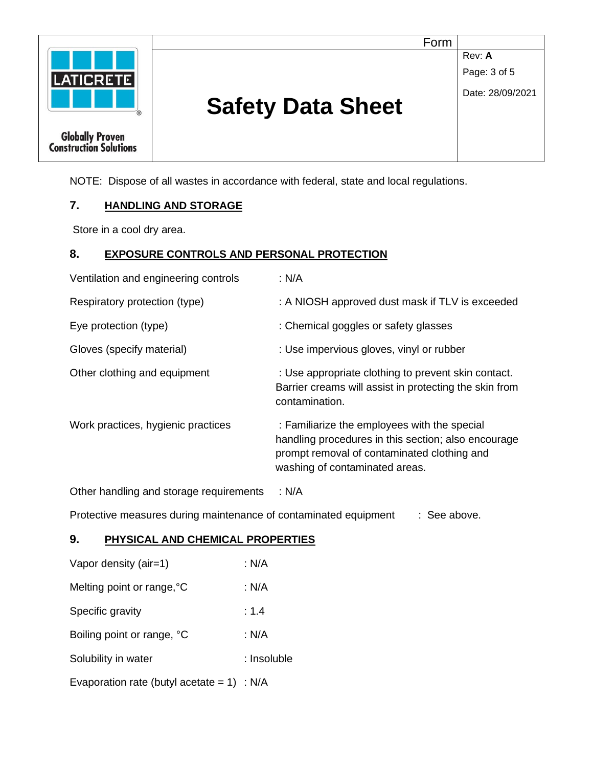

Form

**Rev: A** Page: 3 of 5

Date: 28/09/2021

# **Safety Data Sheet**

NOTE: Dispose of all wastes in accordance with federal, state and local regulations.

#### **7. HANDLING AND STORAGE**

Store in a cool dry area.

#### **8. EXPOSURE CONTROLS AND PERSONAL PROTECTION**

| : N/A                                                                                                                                                                                |
|--------------------------------------------------------------------------------------------------------------------------------------------------------------------------------------|
| : A NIOSH approved dust mask if TLV is exceeded                                                                                                                                      |
| : Chemical goggles or safety glasses                                                                                                                                                 |
| : Use impervious gloves, vinyl or rubber                                                                                                                                             |
| : Use appropriate clothing to prevent skin contact.<br>Barrier creams will assist in protecting the skin from<br>contamination.                                                      |
| : Familiarize the employees with the special<br>handling procedures in this section; also encourage<br>prompt removal of contaminated clothing and<br>washing of contaminated areas. |
|                                                                                                                                                                                      |

Other handling and storage requirements : N/A

Protective measures during maintenance of contaminated equipment : See above.

#### **9. PHYSICAL AND CHEMICAL PROPERTIES**

| Vapor density (air=1)                         | : N/A       |
|-----------------------------------------------|-------------|
| Melting point or range, °C                    | : N/A       |
| Specific gravity                              | : 1.4       |
| Boiling point or range, °C                    | : N/A       |
| Solubility in water                           | : Insoluble |
| Evaporation rate (butyl acetate = $1$ ) : N/A |             |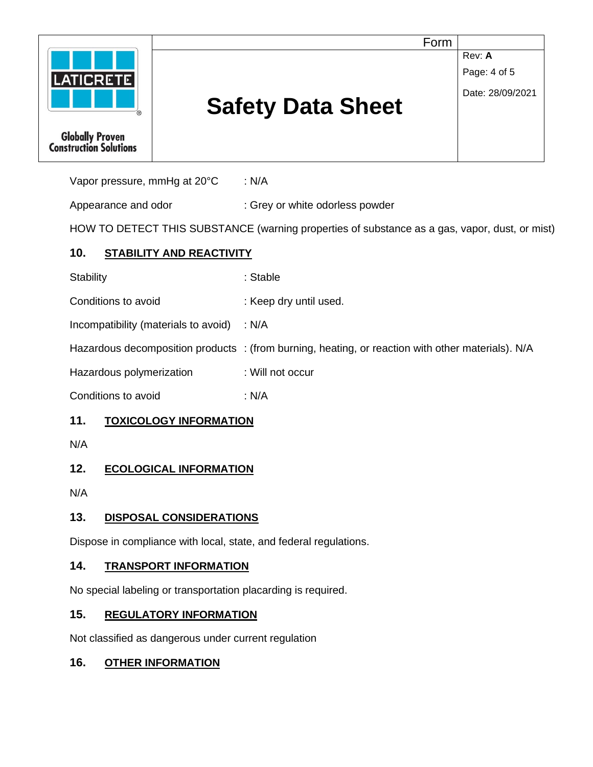

Vapor pressure, mmHg at 20°C : N/A

Appearance and odor : Grey or white odorless powder

HOW TO DETECT THIS SUBSTANCE (warning properties of substance as a gas, vapor, dust, or mist)

# **10. STABILITY AND REACTIVITY**

| Stability | : Stable |
|-----------|----------|
|-----------|----------|

Conditions to avoid : Keep dry until used.

Incompatibility (materials to avoid) : N/A

Hazardous decomposition products : (from burning, heating, or reaction with other materials). N/A

Hazardous polymerization : Will not occur

Conditions to avoid : N/A

# **11. TOXICOLOGY INFORMATION**

N/A

# **12. ECOLOGICAL INFORMATION**

N/A

# **13. DISPOSAL CONSIDERATIONS**

Dispose in compliance with local, state, and federal regulations.

# **14. TRANSPORT INFORMATION**

No special labeling or transportation placarding is required.

# **15. REGULATORY INFORMATION**

Not classified as dangerous under current regulation

# **16. OTHER INFORMATION**